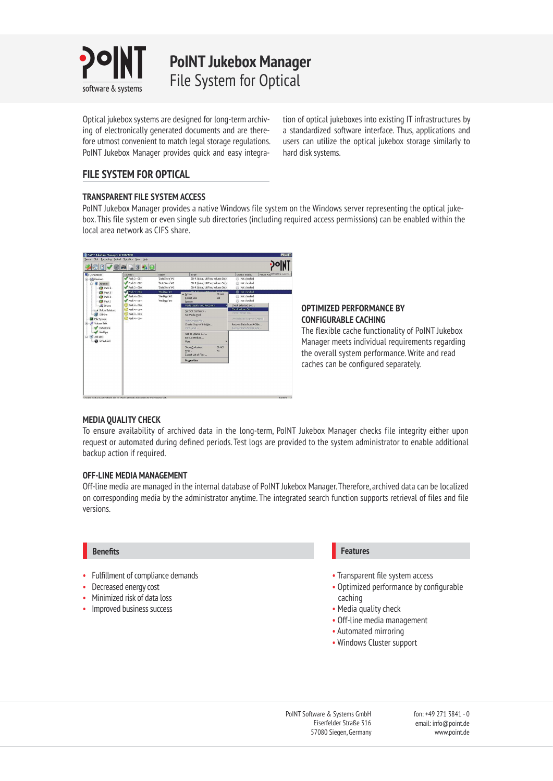

**PoINT Jukebox Manager** File System for Optical

Optical jukebox systems are designed for long-term archiving of electronically generated documents and are therefore utmost convenient to match legal storage regulations. PoINT Jukebox Manager provides quick and easy integration of optical jukeboxes into existing IT infrastructures by a standardized software interface. Thus, applications and users can utilize the optical jukebox storage similarly to hard disk systems.

# **FILE SYSTEM FOR OPTICAL**

# **TRANSPARENT FILE SYSTEM ACCESS**

PoINT Jukebox Manager provides a native Windows file system on the Windows server representing the optical jukebox. This file system or even single sub directories (including required access permissions) can be enabled within the local area network as CIFS share.



# **OPTIMIZED PERFORMANCE BY CONFIGURABLE CACHING**

The flexible cache functionality of PoINT Jukebox Manager meets individual requirements regarding the overall system performance. Write and read caches can be configured separately.

# **MEDIA QUALITY CHECK**

To ensure availability of archived data in the long-term, PoINT Jukebox Manager checks file integrity either upon request or automated during defined periods. Test logs are provided to the system administrator to enable additional backup action if required.

# **OFF-LINE MEDIA MANAGEMENT**

Off-line media are managed in the internal database of PoINT Jukebox Manager. Therefore, archived data can be localized on corresponding media by the administrator anytime. The integrated search function supports retrieval of files and file versions.

# **Benefits**

- Fulfillment of compliance demands
- Decreased energy cost
- Minimized risk of data loss
- Improved business success

# **Features**

- Transparent file system access
- Optimized performance by configurable caching
- Media quality check
- Off-line media management
- Automated mirroring
- Windows Cluster support

PoINT Software & Systems GmbH Eiserfelder Straße 316 57080 Siegen, Germany fon: +49 271 3841 - 0 email: info@point.de www.point.de